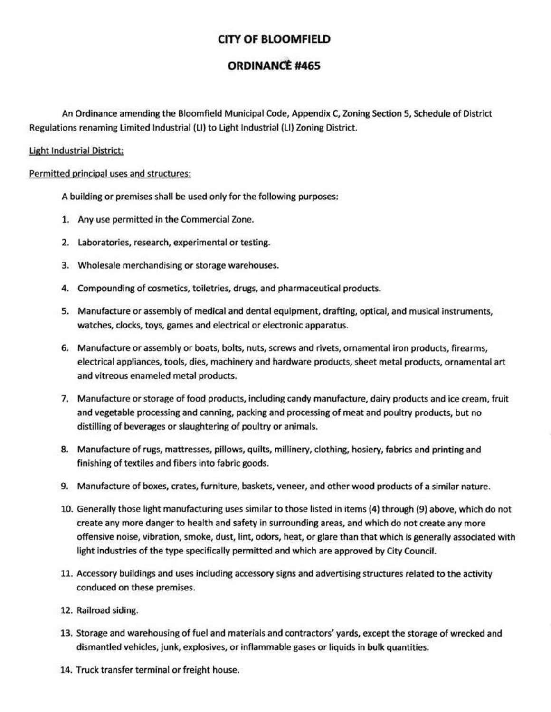# **CITY OF BLOOMFIELD**

## **ORDINANCE #465**

An Ordinance amending the Bloomfield Municipal Code, Appendix C, Zoning Section 5, Schedule of District Regulations renaming Limited Industrial (LI) to Light Industrial (LI) Zoning District.

## Light Industrial District:

#### Permitted principal uses and structures:

A building or premises shall be used only for the following purposes:

- 1. Any use permitted in the Commercial Zone.
- 2. Laboratories, research, experimental or testing.
- 3. Wholesale merchandising or storage warehouses.
- 4. Compounding of cosmetics, toiletries, drugs, and pharmaceutical products.
- 5. Manufacture or assembly of medical and dental equipment, drafting, optical, and musical instruments, watches, clocks, toys, games and electrical or electronic apparatus.
- 6. Manufacture or assembly or boats, bolts, nuts, screws and rivets, ornamental iron products, firearms, electrical appliances, tools, dies, machinery and hardware products, sheet metal products, ornamental art and vitreous enameled metal products.
- 7. Manufacture or storage of food products, including candy manufacture, dairy products and ice cream, fruit and vegetable processing and canning, packing and processing of meat and poultry products, but no distilling of beverages or slaughtering of poultry or animals.
- 8. Manufacture of rugs, mattresses, pillows, quilts, millinery, clothing, hosiery, fabrics and printing and finishing of textiles and fibers into fabric goods.
- 9. Manufacture of boxes, crates, furniture, baskets, veneer, and other wood products of a similar nature.
- 10. Generally those light manufacturing uses similar to those listed in items (4) through (9) above, which do not create any more danger to health and safety in surrounding areas, and which do not create any more offensive noise, vibration, smoke, dust, lint, odors, heat, or glare than that which is generally associated with light industries of the type specifically permitted and which are approved by City Council.
- 11. Accessory buildings and uses including accessory signs and advertising structures related to the activity conduced on these premises.
- 12. Railroad siding.
- 13. Storage and warehousing of fuel and materials and contractors' yards, except the storage of wrecked and dismantled vehicles, junk, explosives, or inflammable gases or liquids in bulk quantities.
- 14. Truck transfer terminal or freight house.